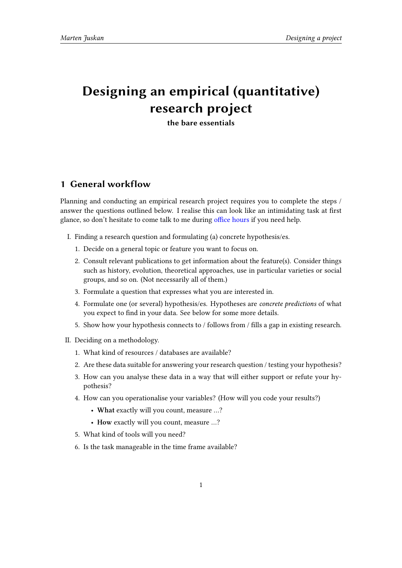# **Designing an empirical (quantitative) research project**

**the bare essentials**

## **1 General workflow**

Planning and conducting an empirical research project requires you to complete the steps / answer the questions outlined below. I realise this can look like an intimidating task at first glance, so don't hesitate to come talk to me during office hours if you need help.

- I. Finding a research question and formulating (a) concrete hypothesis/es.
	- 1. Decide on a general topic or feature you w[ant to focus o](https://martenjuskan.de/contact.html)n.
	- 2. Consult relevant publications to get information about the feature(s). Consider things such as history, evolution, theoretical approaches, use in particular varieties or social groups, and so on. (Not necessarily all of them.)
	- 3. Formulate a question that expresses what you are interested in.
	- 4. Formulate one (or several) hypothesis/es. Hypotheses are *concrete predictions* of what you expect to find in your data. See below for some more details.
	- 5. Show how your hypothesis connects to / follows from / fills a gap in existing research.
- II. Deciding on a methodology.
	- 1. What kind of resources / databases are available?
	- 2. Are these data suitable for answering your research question / testing your hypothesis?
	- 3. How can you analyse these data in a way that will either support or refute your hypothesis?
	- 4. How can you operationalise your variables? (How will you code your results?)
		- **What** exactly will you count, measure …?
		- **How** exactly will you count, measure …?
	- 5. What kind of tools will you need?
	- 6. Is the task manageable in the time frame available?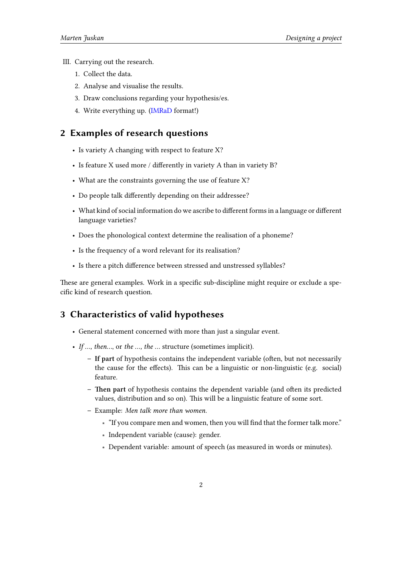- III. Carrying out the research.
	- 1. Collect the data.
	- 2. Analyse and visualise the results.
	- 3. Draw conclusions regarding your hypothesis/es.
	- 4. Write everything up. (IMRaD format!)

### **2 Examples of research questions**

- Is variety A changing w[ith resp](https://en.wikipedia.org/wiki/IMRAD)ect to feature X?
- Is feature X used more / differently in variety A than in variety B?
- What are the constraints governing the use of feature X?
- Do people talk differently depending on their addressee?
- What kind of social information do we ascribe to different forms in a language or different language varieties?
- Does the phonological context determine the realisation of a phoneme?
- Is the frequency of a word relevant for its realisation?
- Is there a pitch difference between stressed and unstressed syllables?

These are general examples. Work in a specific sub-discipline might require or exclude a specific kind of research question.

### **3 Characteristics of valid hypotheses**

- General statement concerned with more than just a singular event.
- *If …, then…*, or *the …, the …* structure (sometimes implicit).
	- **– If part** of hypothesis contains the independent variable (often, but not necessarily the cause for the effects). This can be a linguistic or non-linguistic (e.g. social) feature.
	- **– Then part** of hypothesis contains the dependent variable (and often its predicted values, distribution and so on). This will be a linguistic feature of some sort.
	- **–** Example: *Men talk more than women.*
		- ∗ "If you compare men and women, then you will find that the former talk more."
		- ∗ Independent variable (cause): gender.
		- ∗ Dependent variable: amount of speech (as measured in words or minutes).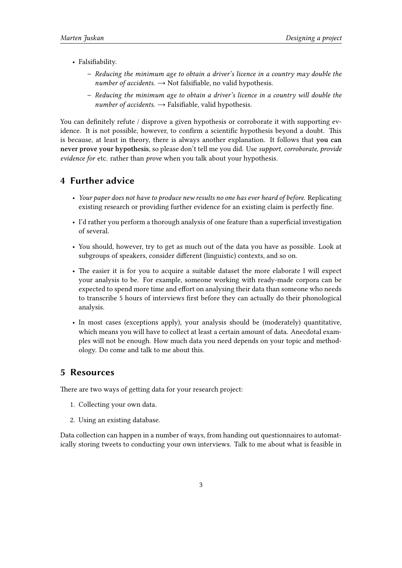- Falsifiability.
	- **–** *Reducing the minimum age to obtain a driver's licence in a country may double the*  $number of accidents.$   $\rightarrow$  Not falsifiable, no valid hypothesis.
	- **–** *Reducing the minimum age to obtain a driver's licence in a country will double the number of accidents.*  $\rightarrow$  Falsifiable, valid hypothesis.

You can definitely refute / disprove a given hypothesis or corroborate it with supporting evidence. It is not possible, however, to confirm a scientific hypothesis beyond a doubt. This is because, at least in theory, there is always another explanation. It follows that **you can never prove your hypothesis**, so please don't tell me you did. Use *support*, *corroborate*, *provide evidence for* etc. rather than *prove* when you talk about your hypothesis.

#### **4 Further advice**

- *Your paper does not have to produce new results no one has ever heard of before.* Replicating existing research or providing further evidence for an existing claim is perfectly fine.
- I'd rather you perform a thorough analysis of one feature than a superficial investigation of several.
- You should, however, try to get as much out of the data you have as possible. Look at subgroups of speakers, consider different (linguistic) contexts, and so on.
- The easier it is for you to acquire a suitable dataset the more elaborate I will expect your analysis to be. For example, someone working with ready-made corpora can be expected to spend more time and effort on analysing their data than someone who needs to transcribe 5 hours of interviews first before they can actually do their phonological analysis.
- In most cases (exceptions apply), your analysis should be (moderately) quantitative, which means you will have to collect at least a certain amount of data. Anecdotal examples will not be enough. How much data you need depends on your topic and methodology. Do come and talk to me about this.

#### **5 Resources**

There are two ways of getting data for your research project:

- 1. Collecting your own data.
- 2. Using an existing database.

Data collection can happen in a number of ways, from handing out questionnaires to automatically storing tweets to conducting your own interviews. Talk to me about what is feasible in